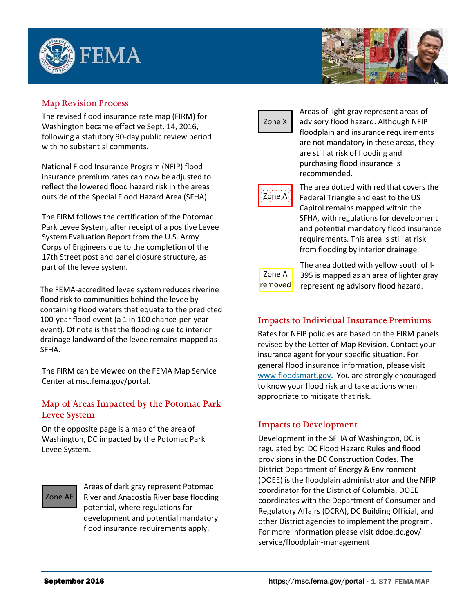



## **Map Revision Process**

The revised flood insurance rate map (FIRM) for Washington became effective Sept. 14, 2016, following a statutory 90-day public review period with no substantial comments.

National Flood Insurance Program (NFIP) flood insurance premium rates can now be adjusted to reflect the lowered flood hazard risk in the areas outside of the Special Flood Hazard Area (SFHA).

The FIRM follows the certification of the Potomac Park Levee System, after receipt of a positive Levee System Evaluation Report from the U.S. Army Corps of Engineers due to the completion of the 17th Street post and panel closure structure, as part of the levee system.

The FEMA-accredited levee system reduces riverine flood risk to communities behind the levee by containing flood waters that equate to the predicted 100-year flood event (a 1 in 100 chance-per-year event). Of note is that the flooding due to interior drainage landward of the levee remains mapped as SFHA.

The FIRM can be viewed on the FEMA Map Service Center at [msc.fema.gov/portal.](http://msc.fema.gov/portal)

## **Map of Areas Impacted by the Potomac Park Levee System**

On the opposite page is a map of the area of Washington, DC impacted by the Potomac Park Levee System.

# Zone AE

Areas of dark gray represent Potomac River and Anacostia River base flooding potential, where regulations for development and potential mandatory flood insurance requirements apply.

Zone X

Areas of light gray represent areas of advisory flood hazard. Although NFIP floodplain and insurance requirements are not mandatory in these areas, they are still at risk of flooding and purchasing flood insurance is recommended.



The area dotted with red that covers the Federal Triangle and east to the US Capitol remains mapped within the SFHA, with regulations for development and potential mandatory flood insurance requirements. This area is still at risk from flooding by interior drainage.



The area dotted with yellow south of I-395 is mapped as an area of lighter gray representing advisory flood hazard.

### **Impacts to Individual Insurance Premiums**

Rates for NFIP policies are based on the FIRM panels revised by the Letter of Map Revision. Contact your insurance agent for your specific situation. For general flood insurance information, please visit www.floodsmart.gov. You are strongly encouraged to know your flood risk and take actions when appropriate to mitigate that risk.

### **Impacts to Development**

[Development in](http://www.floodsmart.gov/) the SFHA of Washington, DC is regulated by: DC Flood Hazard Rules and flood provisions in the DC Construction Codes. The District Department of Energy & Environment (DOEE) is the floodplain administrator and the NFIP coordinator for the District of Columbia. DOEE coordinates with the Department of Consumer and Regulatory Affairs (DCRA), DC Building Official, and other District agencies to implement the program. For more information please visit ddoe.dc.gov/ [service/floodplain-management](http://doee.dc.gov/service/floodplain-management)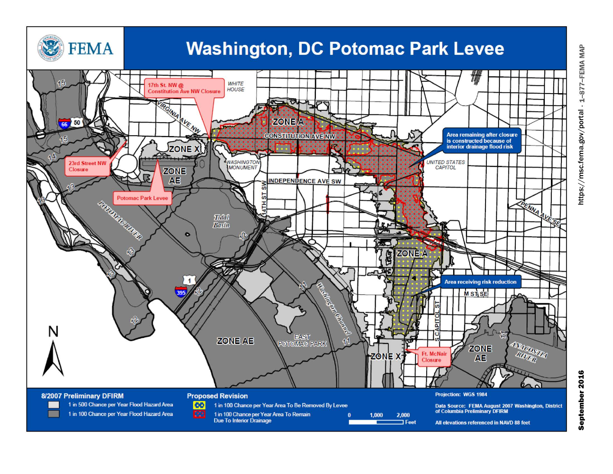

https://msc.fema.gov/portal

1-877-FEMA MAP

 $\alpha$